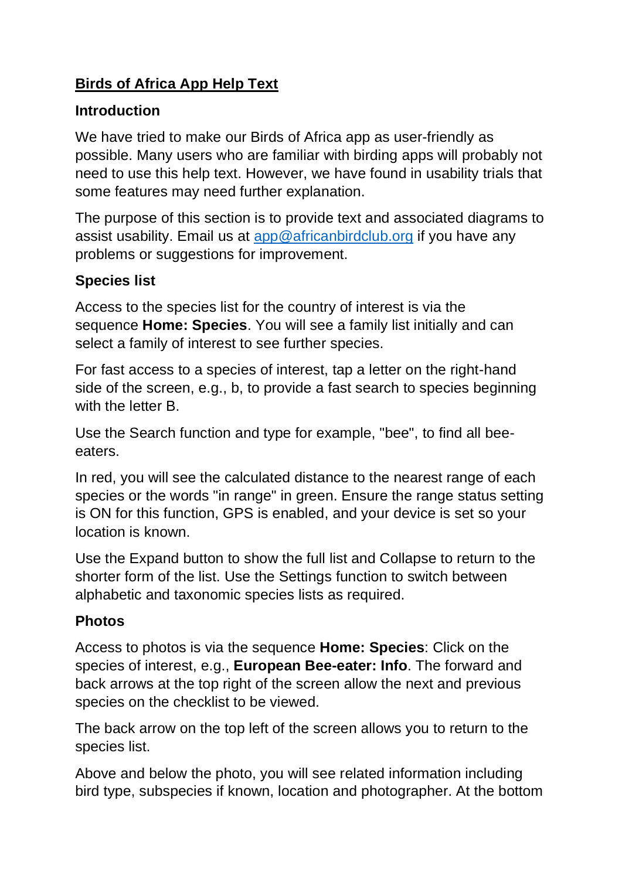## **Birds of Africa App Help Text**

#### **Introduction**

We have tried to make our Birds of Africa app as user-friendly as possible. Many users who are familiar with birding apps will probably not need to use this help text. However, we have found in usability trials that some features may need further explanation.

The purpose of this section is to provide text and associated diagrams to assist usability. Email us at [app@africanbirdclub.org](mailto:app@africanbirdclub.org) if you have any problems or suggestions for improvement.

### **Species list**

Access to the species list for the country of interest is via the sequence **Home: Species**. You will see a family list initially and can select a family of interest to see further species.

For fast access to a species of interest, tap a letter on the right-hand side of the screen, e.g., b, to provide a fast search to species beginning with the letter B.

Use the Search function and type for example, "bee", to find all beeeaters.

In red, you will see the calculated distance to the nearest range of each species or the words "in range" in green. Ensure the range status setting is ON for this function, GPS is enabled, and your device is set so your location is known.

Use the Expand button to show the full list and Collapse to return to the shorter form of the list. Use the Settings function to switch between alphabetic and taxonomic species lists as required.

#### **Photos**

Access to photos is via the sequence **Home: Species**: Click on the species of interest, e.g., **European Bee-eater: Info**. The forward and back arrows at the top right of the screen allow the next and previous species on the checklist to be viewed.

The back arrow on the top left of the screen allows you to return to the species list.

Above and below the photo, you will see related information including bird type, subspecies if known, location and photographer. At the bottom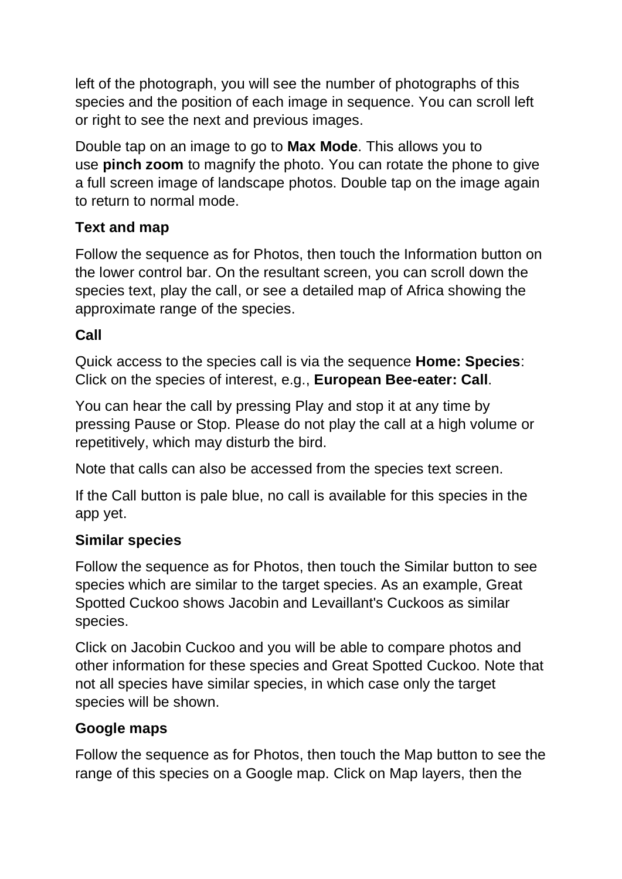left of the photograph, you will see the number of photographs of this species and the position of each image in sequence. You can scroll left or right to see the next and previous images.

Double tap on an image to go to **Max Mode**. This allows you to use **pinch zoom** to magnify the photo. You can rotate the phone to give a full screen image of landscape photos. Double tap on the image again to return to normal mode.

## **Text and map**

Follow the sequence as for Photos, then touch the Information button on the lower control bar. On the resultant screen, you can scroll down the species text, play the call, or see a detailed map of Africa showing the approximate range of the species.

## **Call**

Quick access to the species call is via the sequence **Home: Species**: Click on the species of interest, e.g., **European Bee-eater: Call**.

You can hear the call by pressing Play and stop it at any time by pressing Pause or Stop. Please do not play the call at a high volume or repetitively, which may disturb the bird.

Note that calls can also be accessed from the species text screen.

If the Call button is pale blue, no call is available for this species in the app yet.

#### **Similar species**

Follow the sequence as for Photos, then touch the Similar button to see species which are similar to the target species. As an example, Great Spotted Cuckoo shows Jacobin and Levaillant's Cuckoos as similar species.

Click on Jacobin Cuckoo and you will be able to compare photos and other information for these species and Great Spotted Cuckoo. Note that not all species have similar species, in which case only the target species will be shown.

#### **Google maps**

Follow the sequence as for Photos, then touch the Map button to see the range of this species on a Google map. Click on Map layers, then the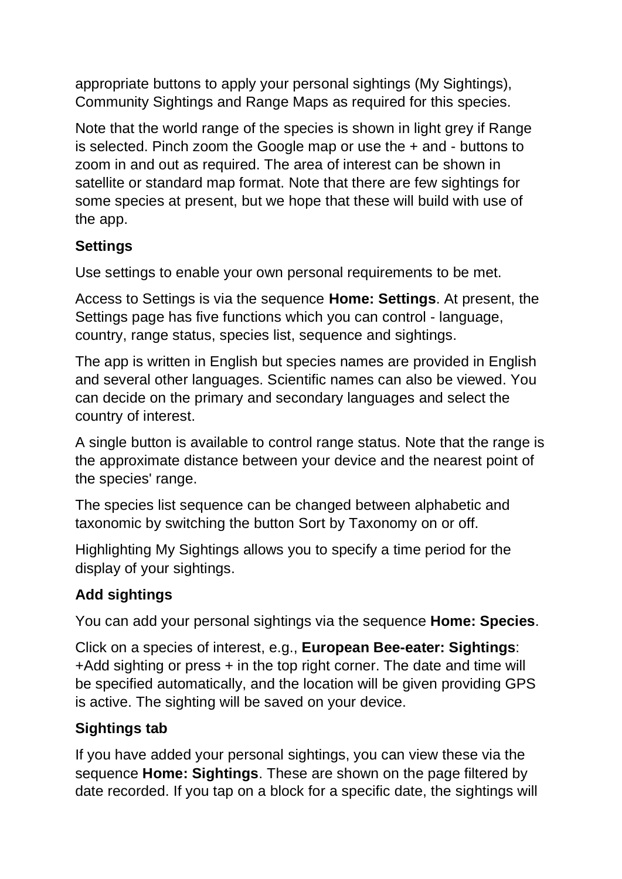appropriate buttons to apply your personal sightings (My Sightings), Community Sightings and Range Maps as required for this species.

Note that the world range of the species is shown in light grey if Range is selected. Pinch zoom the Google map or use the + and - buttons to zoom in and out as required. The area of interest can be shown in satellite or standard map format. Note that there are few sightings for some species at present, but we hope that these will build with use of the app.

## **Settings**

Use settings to enable your own personal requirements to be met.

Access to Settings is via the sequence **Home: Settings**. At present, the Settings page has five functions which you can control - language, country, range status, species list, sequence and sightings.

The app is written in English but species names are provided in English and several other languages. Scientific names can also be viewed. You can decide on the primary and secondary languages and select the country of interest.

A single button is available to control range status. Note that the range is the approximate distance between your device and the nearest point of the species' range.

The species list sequence can be changed between alphabetic and taxonomic by switching the button Sort by Taxonomy on or off.

Highlighting My Sightings allows you to specify a time period for the display of your sightings.

## **Add sightings**

You can add your personal sightings via the sequence **Home: Species**.

Click on a species of interest, e.g., **European Bee-eater: Sightings**: +Add sighting or press + in the top right corner. The date and time will be specified automatically, and the location will be given providing GPS is active. The sighting will be saved on your device.

# **Sightings tab**

If you have added your personal sightings, you can view these via the sequence **Home: Sightings**. These are shown on the page filtered by date recorded. If you tap on a block for a specific date, the sightings will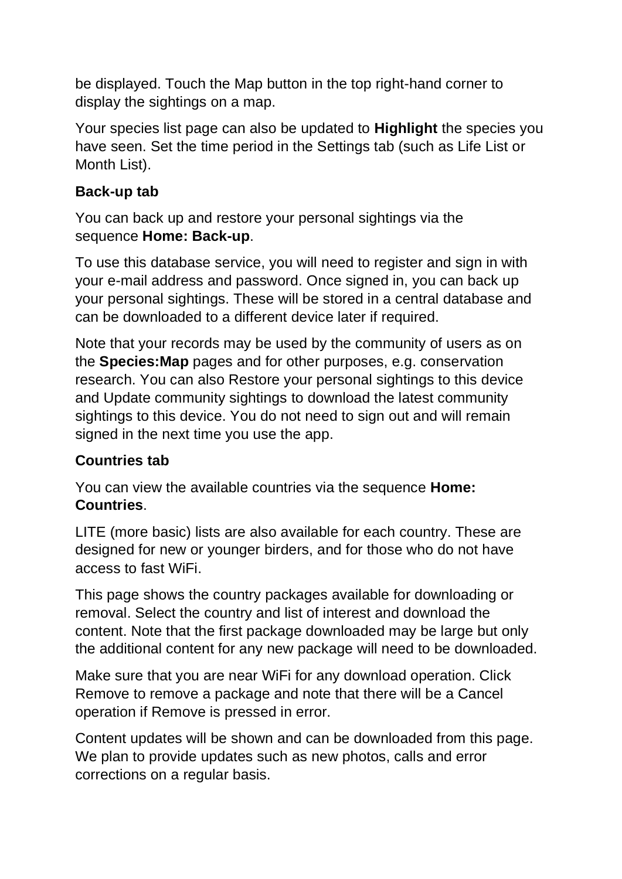be displayed. Touch the Map button in the top right-hand corner to display the sightings on a map.

Your species list page can also be updated to **Highlight** the species you have seen. Set the time period in the Settings tab (such as Life List or Month List).

#### **Back-up tab**

You can back up and restore your personal sightings via the sequence **Home: Back-up**.

To use this database service, you will need to register and sign in with your e-mail address and password. Once signed in, you can back up your personal sightings. These will be stored in a central database and can be downloaded to a different device later if required.

Note that your records may be used by the community of users as on the **Species:Map** pages and for other purposes, e.g. conservation research. You can also Restore your personal sightings to this device and Update community sightings to download the latest community sightings to this device. You do not need to sign out and will remain signed in the next time you use the app.

#### **Countries tab**

You can view the available countries via the sequence **Home: Countries**.

LITE (more basic) lists are also available for each country. These are designed for new or younger birders, and for those who do not have access to fast WiFi.

This page shows the country packages available for downloading or removal. Select the country and list of interest and download the content. Note that the first package downloaded may be large but only the additional content for any new package will need to be downloaded.

Make sure that you are near WiFi for any download operation. Click Remove to remove a package and note that there will be a Cancel operation if Remove is pressed in error.

Content updates will be shown and can be downloaded from this page. We plan to provide updates such as new photos, calls and error corrections on a regular basis.